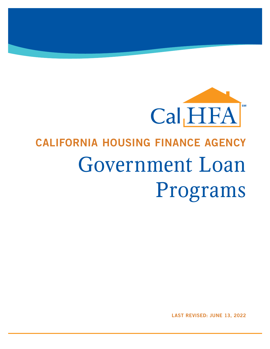

# CALIFORNIA HOUSING FINANCE AGENCY Government Loan Programs

LAST REVISED: JUNE 13, 2022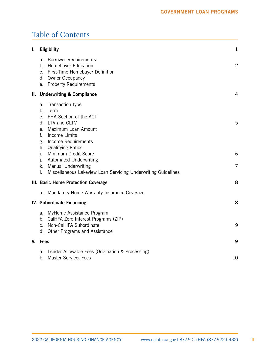# Table of Contents

| I. | <b>Eligibility</b>                                                                                                                                                                                                                                                                                 |                                                               | 1            |
|----|----------------------------------------------------------------------------------------------------------------------------------------------------------------------------------------------------------------------------------------------------------------------------------------------------|---------------------------------------------------------------|--------------|
|    | <b>Borrower Requirements</b><br>a.<br>b. Homebuyer Education<br>c. First-Time Homebuyer Definition<br>d. Owner Occupancy<br>e. Property Requirements                                                                                                                                               |                                                               | $\mathbf{2}$ |
|    | II. Underwriting & Compliance                                                                                                                                                                                                                                                                      |                                                               | 4            |
|    | Transaction type<br>a.<br>b.<br>Term<br>c. FHA Section of the ACT<br>d. LTV and CLTV<br>Maximum Loan Amount<br>e.<br>f.<br>Income Limits<br>Income Requirements<br>g.<br>h. Qualifying Ratios<br>Minimum Credit Score<br>İ.<br><b>Automated Underwriting</b><br>J.<br>k. Manual Underwriting<br>I. | Miscellaneous Lakeview Loan Servicing Underwriting Guidelines | 5<br>6<br>7  |
|    | III. Basic Home Protection Coverage                                                                                                                                                                                                                                                                |                                                               | 8            |
|    | a.                                                                                                                                                                                                                                                                                                 | Mandatory Home Warranty Insurance Coverage                    |              |
|    |                                                                                                                                                                                                                                                                                                    | IV. Subordinate Financing                                     |              |
|    | a. MyHome Assistance Program<br>c. Non-CalHFA Subordinate<br>d. Other Programs and Assistance                                                                                                                                                                                                      | b. CalHFA Zero Interest Programs (ZIP)                        | 9            |
| V. | <b>Fees</b>                                                                                                                                                                                                                                                                                        |                                                               | 9            |
|    | a.<br><b>Master Servicer Fees</b><br>b.                                                                                                                                                                                                                                                            | Lender Allowable Fees (Origination & Processing)              | 10           |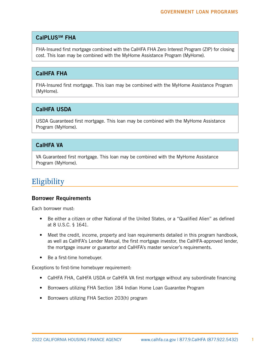# <span id="page-2-0"></span>CalPLUSSM FHA

FHA-Insured first mortgage combined with the CalHFA FHA Zero Interest Program (ZIP) for closing cost. This loan may be combined with the MyHome Assistance Program (MyHome).

# CalHFA FHA

FHA-Insured first mortgage. This loan may be combined with the MyHome Assistance Program (MyHome).

# CalHFA USDA

USDA Guaranteed first mortgage. This loan may be combined with the MyHome Assistance Program (MyHome).

# CalHFA VA

VA Guaranteed first mortgage. This loan may be combined with the MyHome Assistance Program (MyHome).

# **Eligibility**

#### Borrower Requirements

Each borrower must:

- Be either a citizen or other National of the United States, or a "Qualified Alien" as defined at 8 U.S.C. § 1641.
- Meet the credit, income, property and loan requirements detailed in this program handbook, as well as CalHFA's Lender Manual, the first mortgage investor, the CalHFA-approved lender, the mortgage insurer or guarantor and CalHFA's master servicer's requirements.
- Be a first-time homebuyer.

Exceptions to first-time homebuyer requirement:

- CalHFA FHA, CalHFA USDA or CalHFA VA first mortgage without any subordinate financing
- Borrowers utilizing FHA Section 184 Indian Home Loan Guarantee Program
- Borrowers utilizing FHA Section 203(h) program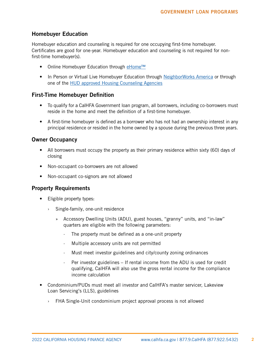## <span id="page-3-0"></span>Homebuyer Education

Homebuyer education and counseling is required for one occupying first-time homebuyer. Certificates are good for one-year. Homebuyer education and counseling is not required for nonfirst-time homebuyer(s).

- Online Homebuyer Education through [eHome™](https://calhfa.ehomeamerica.org/sponsor_user/sponsor_main)
- In Person or Virtual Live Homebuyer Education through [NeighborWorks America](http://www.nw.org/network/nwdata/homeownershipcenter.asp) or through one of the [HUD approved Housing Counseling Agencies](http://hud.gov/offices/hsg/sfh/hcc/hcs.cfm?weblistaction=summary)

#### First-Time Homebuyer Definition

- To qualify for a CalHFA Government loan program, all borrowers, including co-borrowers must reside in the home and meet the definition of a first-time homebuyer.
- A first-time homebuyer is defined as a borrower who has not had an ownership interest in any principal residence or resided in the home owned by a spouse during the previous three years.

#### Owner Occupancy

- All borrowers must occupy the property as their primary residence within sixty (60) days of closing
- Non-occupant co-borrowers are not allowed
- Non-occupant co-signors are not allowed

#### Property Requirements

- Eligible property types:
	- › Single-family, one-unit residence
		- » Accessory Dwelling Units (ADU), guest houses, "granny" units, and "in-law" quarters are eligible with the following parameters:
			- The property must be defined as a one-unit property
			- Multiple accessory units are not permitted
			- · Must meet investor guidelines and city/county zoning ordinances
			- · Per investor guidelines If rental income from the ADU is used for credit qualifying, CalHFA will also use the gross rental income for the compliance income calculation
- Condominium/PUDs must meet all investor and CalHFA's master servicer, Lakeview Loan Servicing's (LLS), guidelines
	- › FHA Single-Unit condominium project approval process is not allowed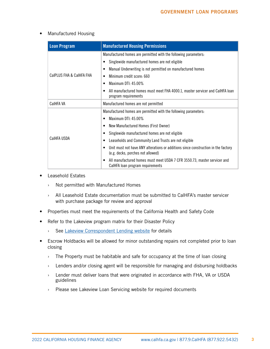#### • Manufactured Housing

| <b>Loan Program</b>      | <b>Manufactured Housing Permissions</b>                                                                                   |  |
|--------------------------|---------------------------------------------------------------------------------------------------------------------------|--|
|                          | Manufactured homes are permitted with the following parameters:                                                           |  |
|                          | Singlewide manufactured homes are not eligible                                                                            |  |
|                          | Manual Underwriting is not permitted on manufactured homes                                                                |  |
| CalPLUS FHA & CalHFA FHA | Minimum credit score: 660<br>٠                                                                                            |  |
|                          | Maximum DTI: 45.00%<br>٠                                                                                                  |  |
|                          | All manufactured homes must meet FHA 4000.1, master servicer and CalHFA loan<br>program requirements                      |  |
| CalHFA VA                | Manufactured homes are not permitted                                                                                      |  |
|                          | Manufactured homes are permitted with the following parameters:                                                           |  |
|                          | Maximum DTI: 45.00%                                                                                                       |  |
|                          | New Manufactured Homes (First Owner)<br>٠                                                                                 |  |
|                          | Singlewide manufactured homes are not eligible                                                                            |  |
| CalHFA USDA              | Leaseholds and Community Land Trusts are not eligible                                                                     |  |
|                          | Unit must not have ANY alterations or additions since construction in the factory<br>(e.g. decks, porches not allowed)    |  |
|                          | All manufactured homes must meet USDA 7 CFR 3550.73, master servicer and<br>$\bullet$<br>CalHFA loan program requirements |  |

- Leasehold Estates
	- › Not permitted with Manufactured Homes
	- › All Leasehold Estate documentation must be submitted to CalHFA's master servicer with purchase package for review and approval
- Properties must meet the requirements of the California Health and Safety Code
- Refer to the Lakeview program matrix for their Disaster Policy
	- › See [Lakeview Correspondent Lending website](https://www.mrn3.com/Client/bayview.asp) for details
- Escrow Holdbacks will be allowed for minor outstanding repairs not completed prior to loan closing
	- $\rightarrow$  The Property must be habitable and safe for occupancy at the time of loan closing
	- › Lenders and/or closing agent will be responsible for managing and disbursing holdbacks
	- › Lender must deliver loans that were originated in accordance with FHA, VA or USDA guidelines
	- › Please see Lakeview Loan Servicing website for required documents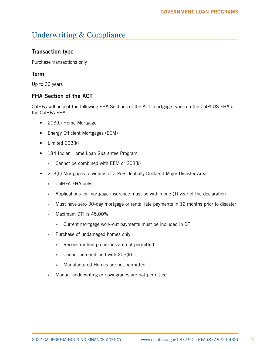# <span id="page-5-0"></span>Underwriting & Compliance

# Transaction type

Purchase transactions only

#### Term

Up to 30 years

# FHA Section of the ACT

CalHFA will accept the following FHA Sections of the ACT mortgage types on the CalPLUS FHA or the CalHFA FHA.

- 203(b) Home Mortgage
- Energy Efficient Mortgages (EEM)
- Limited 203(k)
- 184 Indian Home Loan Guarantee Program
	- › Cannot be combined with EEM or 203(k)
- 203(h) Mortgages to victims of a Presidentially Declared Major Disaster Area
	- › CalHFA FHA only
	- $\rightarrow$  Applications for mortgage insurance must be within one (1) year of the declaration
	- › Must have zero 30-day mortgage or rental late payments in 12 months prior to disaster
	- › Maximum DTI is 45.00%
		- » Current mortgage work-out payments must be included in DTI
	- › Purchase of undamaged homes only
		- » Reconstruction properties are not permitted
		- » Cannot be combined with 203(k)
		- » Manufactured Homes are not permitted
	- › Manual underwriting or downgrades are not permitted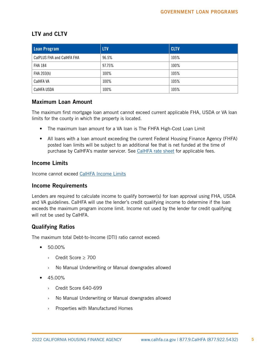# <span id="page-6-0"></span>LTV and CLTV

| Loan Program               | <b>LTV</b> | <b>CLTV</b> |
|----------------------------|------------|-------------|
| CalPLUS FHA and CalHFA FHA | 96.5%      | 105%        |
| <b>FHA 184</b>             | 97.75%     | 100%        |
| FHA 203(h)                 | 100%       | 105%        |
| CalHFA VA                  | 100%       | 105%        |
| <b>CalHFA USDA</b>         | 100%       | 105%        |

#### Maximum Loan Amount

The maximum first mortgage loan amount cannot exceed current applicable FHA, USDA or VA loan limits for the county in which the property is located.

- The maximum loan amount for a VA loan is The FHFA High-Cost Loan Limit
- All loans with a loan amount exceeding the current Federal Housing Finance Agency (FHFA) posted loan limits will be subject to an additional fee that is net funded at the time of purchase by CalHFA's master servicer. See [CalHFA rate sheet](http://www.calhfa.ca.gov/apps/rates/) for applicable fees.

# Income Limits

Income cannot exceed CalHFA [Income Limits](http://www.calhfa.ca.gov/homeownership/limits/income/income.pdf)

#### Income Requirements

Lenders are required to calculate income to qualify borrower(s) for loan approval using FHA, USDA and VA guidelines. CalHFA will use the lender's credit qualifying income to determine if the loan exceeds the maximum program income limit. Income not used by the lender for credit qualifying will not be used by CalHFA.

# Qualifying Ratios

The maximum total Debt-to-Income (DTI) ratio cannot exceed:

- 50.00%
	- › Credit Score ≥ 700
	- › No Manual Underwriting or Manual downgrades allowed
- 45.00%
	- › Credit Score 640-699
	- › No Manual Underwriting or Manual downgrades allowed
	- › Properties with Manufactured Homes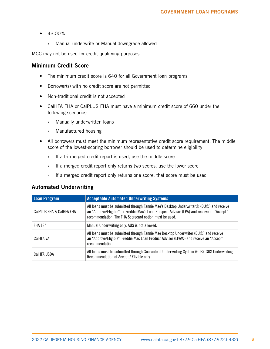- <span id="page-7-0"></span>• 43.00%
	- › Manual underwrite or Manual downgrade allowed

MCC may not be used for credit qualifying purposes.

#### Minimum Credit Score

- The minimum credit score is 640 for all Government loan programs
- Borrower(s) with no credit score are not permitted
- Non-traditional credit is not accepted
- CalHFA FHA or CalPLUS FHA must have a minimum credit score of 660 under the following scenarios:
	- › Manually underwritten loans
	- › Manufactured housing
- All borrowers must meet the minimum representative credit score requirement. The middle score of the lowest-scoring borrower should be used to determine eligibility
	- $\rightarrow$  If a tri-merged credit report is used, use the middle score
	- › If a merged credit report only returns two scores, use the lower score
	- › If a merged credit report only returns one score, that score must be used

#### Automated Underwriting

| Loan Program             | <b>Acceptable Automated Underwriting Systems</b>                                                                                                                                                                                                 |
|--------------------------|--------------------------------------------------------------------------------------------------------------------------------------------------------------------------------------------------------------------------------------------------|
| CalPLUS FHA & CalHFA FHA | All loans must be submitted through Fannie Mae's Desktop Underwriter® (DU®) and receive<br>an "Approve/Eligible", or Freddie Mac's Loan Prospect Advisor (LPA) and receive an "Accept"<br>recommendation. The FHA Scorecard option must be used. |
| <b>FHA 184</b>           | Manual Underwriting only. AUS is not allowed.                                                                                                                                                                                                    |
| CalHFA VA                | All loans must be submitted through Fannie Mae Desktop Underwriter (DU®) and receive<br>an "Approve/Eligible", Freddie Mac Loan Product Advisor (LPA®) and receive an "Accept"<br>recommendation.                                                |
| CalHFA USDA              | All loans must be submitted through Guaranteed Underwriting System (GUS). GUS Underwriting<br>Recommendation of Accept / Eligible only.                                                                                                          |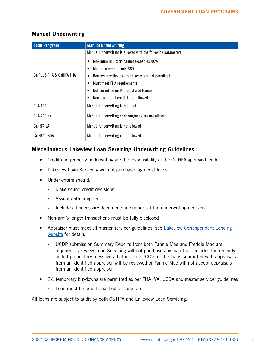# <span id="page-8-0"></span>Manual Underwriting

| <b>Loan Program</b>      | <b>Manual Underwriting</b>                                    |
|--------------------------|---------------------------------------------------------------|
|                          | Manual Underwriting is allowed with the following parameters: |
|                          | Maximum DTI Ratio cannot exceed 43.00%                        |
|                          | Minimum credit score: 660<br>٠                                |
| CalPLUS FHA & CalHFA FHA | Borrowers without a credit score are not permitted<br>٠       |
|                          | Must meet FHA requirements                                    |
|                          | Not permitted on Manufactured Homes                           |
|                          | Non-traditional credit is not allowed                         |
| <b>FHA 184</b>           | Manual Underwriting is required                               |
| FHA 203(h)               | Manual Underwriting or downgrades are not allowed             |
| CalHFA VA                | Manual Underwriting is not allowed                            |
| CaIHFA USDA              | Manual Underwriting is not allowed                            |

# Miscellaneous Lakeview Loan Servicing Underwriting Guidelines

- Credit and property underwriting are the responsibility of the CalHFA approved lender
- Lakeview Loan Servicing will not purchase high cost loans
- Underwriters should:
	- › Make sound credit decisions
	- › Assure data integrity
	- $\rightarrow$  Include all necessary documents in support of the underwriting decision
- Non-arm's length transactions must be fully disclosed
- Appraiser must meet all master servicer guidelines, see Lakeview Correspondent Lending [website](https://www.mrn3.com/Client/bayview.asp) for details
	- › UCDP submission Summary Reports from both Fannie Mae and Freddie Mac are required. Lakeview Loan Servicing will not purchase any loan that includes the recently added proprietary messages that indicate 100% of the loans submitted with appraisals from an identified appraiser will be reviewed or Fannie Mae will not accept appraisals from an identified appraiser
- 2-1 temporary buydowns are permitted as per FHA, VA, USDA and master servicer guidelines
	- › Loan must be credit qualified at Note rate

All loans are subject to audit by both CalHFA and Lakeview Loan Servicing.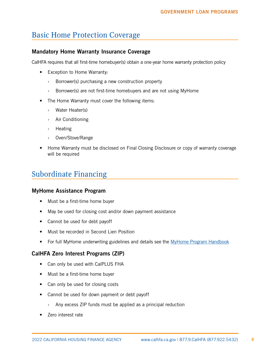# <span id="page-9-0"></span>Basic Home Protection Coverage

## Mandatory Home Warranty Insurance Coverage

CalHFA requires that all first-time homebuyer(s) obtain a one-year home warranty protection policy

- Exception to Home Warranty:
	- › Borrower(s) purchasing a new construction property
	- › Borrower(s) are not first-time homebuyers and are not using MyHome
- The Home Warranty must cover the following items:
	- › Water Heater(s)
	- › Air Conditioning
	- › Heating
	- › Oven/Stove/Range
- Home Warranty must be disclosed on Final Closing Disclosure or copy of warranty coverage will be required

# Subordinate Financing

#### MyHome Assistance Program

- Must be a first-time home buyer
- May be used for closing cost and/or down payment assistance
- Cannot be used for debt payoff
- Must be recorded in Second Lien Position
- For full MyHome underwriting guidelines and details see the [MyHome Program Handbook](http://www.calhfa.ca.gov/homeownership/programs/myhome.pdf)

#### CalHFA Zero Interest Programs (ZIP)

- Can only be used with CalPLUS FHA
- Must be a first-time home buyer
- Can only be used for closing costs
- Cannot be used for down payment or debt payoff
	- › Any excess ZIP funds must be applied as a principal reduction
- Zero interest rate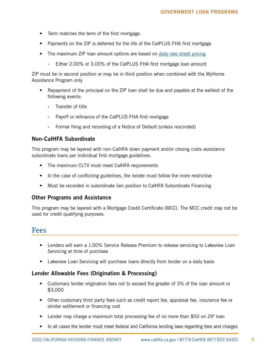- <span id="page-10-0"></span>• Term matches the term of the first mortgage.
- Payments on the ZIP is deferred for the life of the CalPLUS FHA first mortgage
- The maximum ZIP loan amount options are based on [daily rate sheet pricing](https://www.calhfa.ca.gov/apps/rates/)
	- Either 2.00% or 3.00% of the CalPLUS FHA first mortgage loan amount

ZIP must be in second position or may be in third position when combined with the MyHome Assistance Program only

- Repayment of the principal on the ZIP loan shall be due and payable at the earliest of the following events:
	- › Transfer of title
	- › Payoff or refinance of the CalPLUS FHA first mortgage
	- › Formal filing and recording of a Notice of Default (unless rescinded)

#### Non-CalHFA Subordinate

This program may be layered with non-CalHFA down payment and/or closing costs assistance subordinate loans per individual first mortgage guidelines.

- The maximum CLTV must meet CalHFA requirements
- In the case of conflicting guidelines, the lender must follow the more restrictive
- Must be recorded in subordinate lien position to CalHFA Subordinate Financing

#### Other Programs and Assistance

This program may be layered with a Mortgage Credit Certificate (MCC). The MCC credit may not be used for credit qualifying purposes.

# Fees

- Lenders will earn a 1.00% Service Release Premium to release servicing to Lakeview Loan Servicing at time of purchase
- Lakeview Loan Servicing will purchase loans directly from lender on a daily basis

#### Lender Allowable Fees (Origination & Processing)

- Customary lender origination fees not to exceed the greater of 3% of the loan amount or \$3,000
- Other customary third party fees such as credit report fee, appraisal fee, insurance fee or similar settlement or financing cost
- Lender may charge a maximum total processing fee of no more than \$50 on ZIP loan
- In all cases the lender must meet federal and California lending laws regarding fees and charges